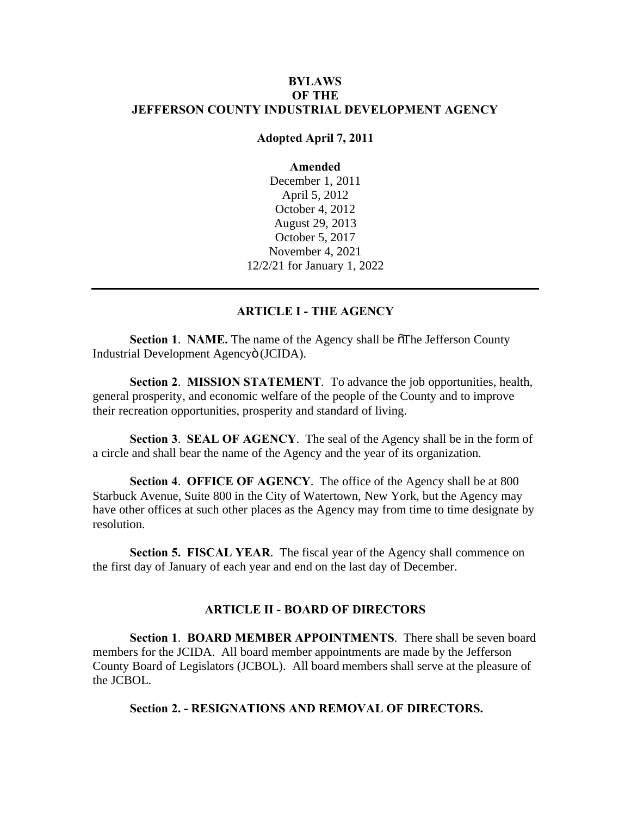### **BYLAWS OF THE JEFFERSON COUNTY INDUSTRIAL DEVELOPMENT AGENCY**

**Adopted April 7, 2011**

#### **Amended**

December 1, 2011 April 5, 2012 October 4, 2012 August 29, 2013 October 5, 2017 November 4, 2021 12/2/21 for January 1, 2022

## **ARTICLE I - THE AGENCY**

**Section 1. NAME.** The name of the Agency shall be  $\tilde{\sigma}$ The Jefferson County Industrial Development Agencyö (JCIDA).

**Section 2**. **MISSION STATEMENT**. To advance the job opportunities, health, general prosperity, and economic welfare of the people of the County and to improve their recreation opportunities, prosperity and standard of living.

**Section 3**. **SEAL OF AGENCY**. The seal of the Agency shall be in the form of a circle and shall bear the name of the Agency and the year of its organization.

**Section 4**. **OFFICE OF AGENCY**. The office of the Agency shall be at 800 Starbuck Avenue, Suite 800 in the City of Watertown, New York, but the Agency may have other offices at such other places as the Agency may from time to time designate by resolution.

**Section 5. FISCAL YEAR**. The fiscal year of the Agency shall commence on the first day of January of each year and end on the last day of December.

#### **ARTICLE II - BOARD OF DIRECTORS**

**Section 1**. **BOARD MEMBER APPOINTMENTS**. There shall be seven board members for the JCIDA. All board member appointments are made by the Jefferson County Board of Legislators (JCBOL). All board members shall serve at the pleasure of the JCBOL.

**Section 2. - RESIGNATIONS AND REMOVAL OF DIRECTORS.**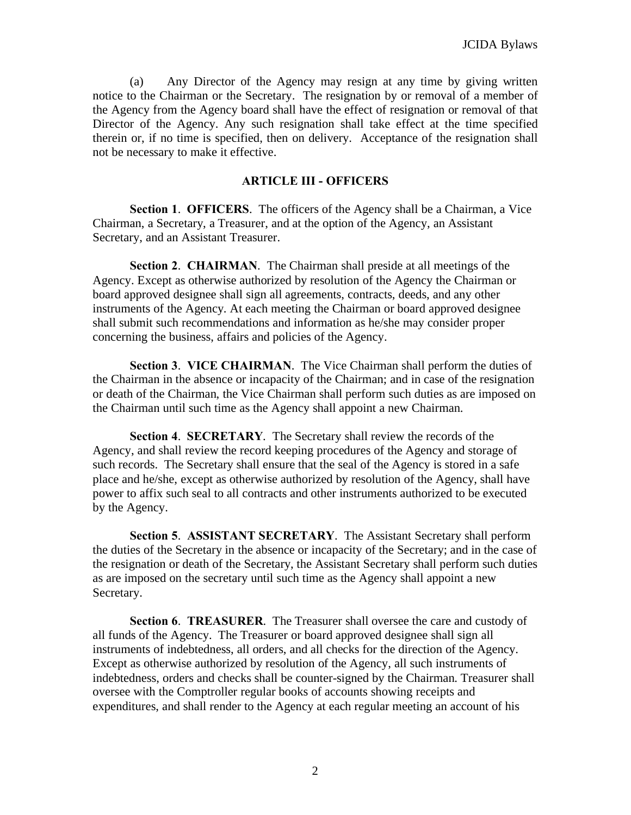(a) Any Director of the Agency may resign at any time by giving written notice to the Chairman or the Secretary. The resignation by or removal of a member of the Agency from the Agency board shall have the effect of resignation or removal of that Director of the Agency. Any such resignation shall take effect at the time specified therein or, if no time is specified, then on delivery. Acceptance of the resignation shall not be necessary to make it effective.

#### **ARTICLE III - OFFICERS**

**Section 1**. **OFFICERS**. The officers of the Agency shall be a Chairman, a Vice Chairman, a Secretary, a Treasurer, and at the option of the Agency, an Assistant Secretary, and an Assistant Treasurer.

**Section 2**. **CHAIRMAN**. The Chairman shall preside at all meetings of the Agency. Except as otherwise authorized by resolution of the Agency the Chairman or board approved designee shall sign all agreements, contracts, deeds, and any other instruments of the Agency. At each meeting the Chairman or board approved designee shall submit such recommendations and information as he/she may consider proper concerning the business, affairs and policies of the Agency.

**Section 3**. **VICE CHAIRMAN**. The Vice Chairman shall perform the duties of the Chairman in the absence or incapacity of the Chairman; and in case of the resignation or death of the Chairman, the Vice Chairman shall perform such duties as are imposed on the Chairman until such time as the Agency shall appoint a new Chairman.

**Section 4**. **SECRETARY**. The Secretary shall review the records of the Agency, and shall review the record keeping procedures of the Agency and storage of such records.The Secretary shall ensure that the seal of the Agency is stored in a safe place and he/she, except as otherwise authorized by resolution of the Agency, shall have power to affix such seal to all contracts and other instruments authorized to be executed by the Agency.

**Section 5**. **ASSISTANT SECRETARY**. The Assistant Secretary shall perform the duties of the Secretary in the absence or incapacity of the Secretary; and in the case of the resignation or death of the Secretary, the Assistant Secretary shall perform such duties as are imposed on the secretary until such time as the Agency shall appoint a new Secretary.

**Section 6**. **TREASURER**. The Treasurer shall oversee the care and custody of all funds of the Agency. The Treasurer or board approved designee shall sign all instruments of indebtedness, all orders, and all checks for the direction of the Agency. Except as otherwise authorized by resolution of the Agency, all such instruments of indebtedness, orders and checks shall be counter-signed by the Chairman. Treasurer shall oversee with the Comptroller regular books of accounts showing receipts and expenditures, and shall render to the Agency at each regular meeting an account of his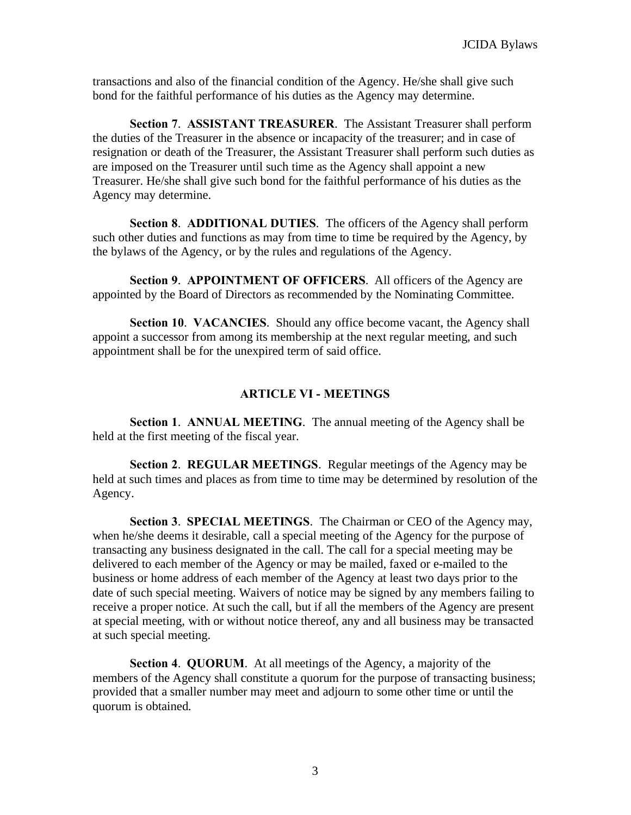transactions and also of the financial condition of the Agency. He/she shall give such bond for the faithful performance of his duties as the Agency may determine.

**Section 7**. **ASSISTANT TREASURER**. The Assistant Treasurer shall perform the duties of the Treasurer in the absence or incapacity of the treasurer; and in case of resignation or death of the Treasurer, the Assistant Treasurer shall perform such duties as are imposed on the Treasurer until such time as the Agency shall appoint a new Treasurer. He/she shall give such bond for the faithful performance of his duties as the Agency may determine.

**Section 8**. **ADDITIONAL DUTIES**. The officers of the Agency shall perform such other duties and functions as may from time to time be required by the Agency, by the bylaws of the Agency, or by the rules and regulations of the Agency.

**Section 9**. **APPOINTMENT OF OFFICERS**. All officers of the Agency are appointed by the Board of Directors as recommended by the Nominating Committee.

**Section 10**. **VACANCIES**. Should any office become vacant, the Agency shall appoint a successor from among its membership at the next regular meeting, and such appointment shall be for the unexpired term of said office.

## **ARTICLE VI - MEETINGS**

**Section 1**. **ANNUAL MEETING**. The annual meeting of the Agency shall be held at the first meeting of the fiscal year.

**Section 2**. **REGULAR MEETINGS**. Regular meetings of the Agency may be held at such times and places as from time to time may be determined by resolution of the Agency.

**Section 3**. **SPECIAL MEETINGS**. The Chairman or CEO of the Agency may, when he/she deems it desirable, call a special meeting of the Agency for the purpose of transacting any business designated in the call. The call for a special meeting may be delivered to each member of the Agency or may be mailed, faxed or e-mailed to the business or home address of each member of the Agency at least two days prior to the date of such special meeting. Waivers of notice may be signed by any members failing to receive a proper notice. At such the call, but if all the members of the Agency are present at special meeting, with or without notice thereof, any and all business may be transacted at such special meeting.

**Section 4**. **QUORUM**. At all meetings of the Agency, a majority of the members of the Agency shall constitute a quorum for the purpose of transacting business; provided that a smaller number may meet and adjourn to some other time or until the quorum is obtained.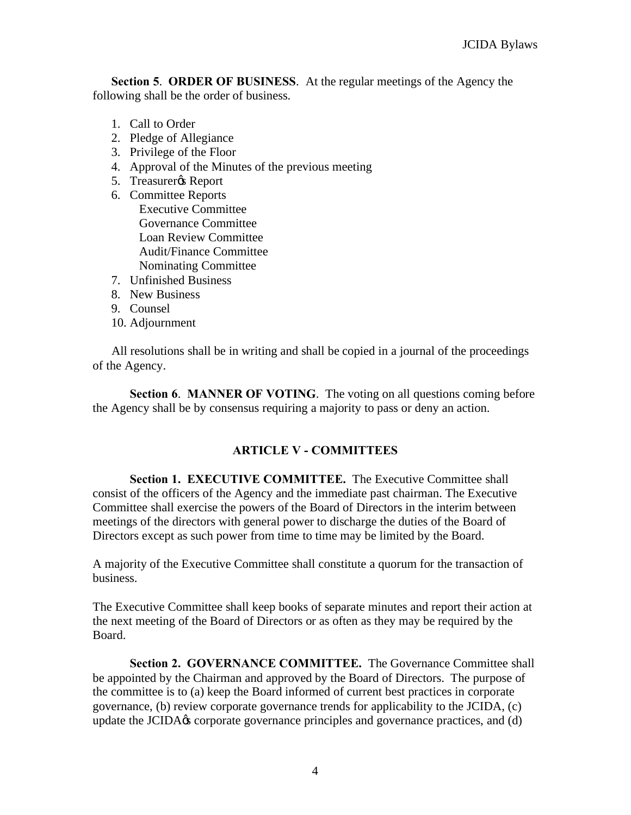**Section 5**. **ORDER OF BUSINESS**. At the regular meetings of the Agency the following shall be the order of business.

- 1. Call to Order
- 2. Pledge of Allegiance
- 3. Privilege of the Floor
- 4. Approval of the Minutes of the previous meeting
- 5. Treasurer<sub>%</sub> Report
- 6. Committee Reports Executive Committee Governance Committee Loan Review Committee Audit/Finance Committee Nominating Committee
- 7. Unfinished Business
- 8. New Business
- 9. Counsel
- 10. Adjournment

 All resolutions shall be in writing and shall be copied in a journal of the proceedings of the Agency.

**Section 6**. **MANNER OF VOTING**. The voting on all questions coming before the Agency shall be by consensus requiring a majority to pass or deny an action.

# **ARTICLE V - COMMITTEES**

**Section 1. EXECUTIVE COMMITTEE.** The Executive Committee shall consist of the officers of the Agency and the immediate past chairman. The Executive Committee shall exercise the powers of the Board of Directors in the interim between meetings of the directors with general power to discharge the duties of the Board of Directors except as such power from time to time may be limited by the Board.

A majority of the Executive Committee shall constitute a quorum for the transaction of business.

The Executive Committee shall keep books of separate minutes and report their action at the next meeting of the Board of Directors or as often as they may be required by the Board.

**Section 2. GOVERNANCE COMMITTEE.** The Governance Committee shall be appointed by the Chairman and approved by the Board of Directors. The purpose of the committee is to (a) keep the Board informed of current best practices in corporate governance, (b) review corporate governance trends for applicability to the JCIDA, (c) update the JCIDA $\alpha$ s corporate governance principles and governance practices, and (d)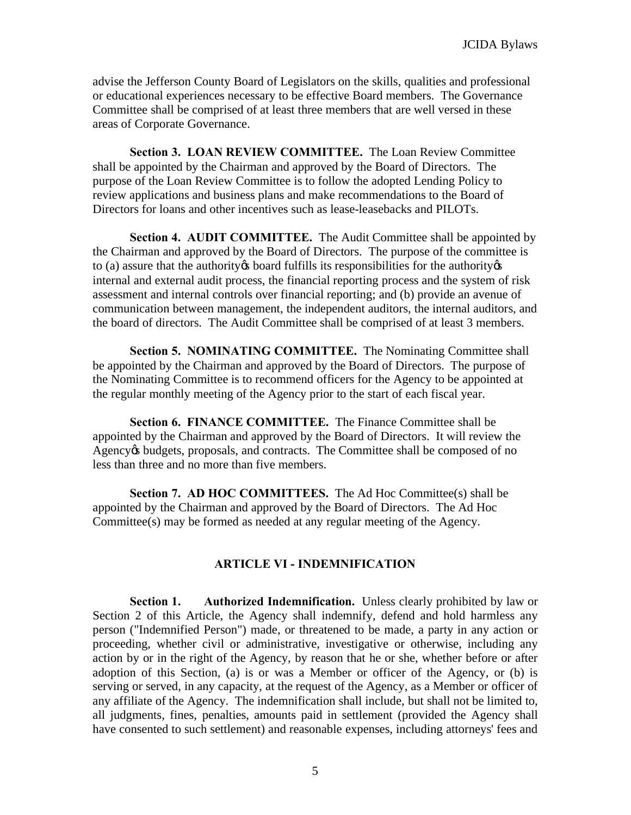advise the Jefferson County Board of Legislators on the skills, qualities and professional or educational experiences necessary to be effective Board members. The Governance Committee shall be comprised of at least three members that are well versed in these areas of Corporate Governance.

**Section 3. LOAN REVIEW COMMITTEE.** The Loan Review Committee shall be appointed by the Chairman and approved by the Board of Directors. The purpose of the Loan Review Committee is to follow the adopted Lending Policy to review applications and business plans and make recommendations to the Board of Directors for loans and other incentives such as lease-leasebacks and PILOTs.

**Section 4. AUDIT COMMITTEE.** The Audit Committee shall be appointed by the Chairman and approved by the Board of Directors. The purpose of the committee is to (a) assure that the authority  $\&$  board fulfills its responsibilities for the authority  $\&$ internal and external audit process, the financial reporting process and the system of risk assessment and internal controls over financial reporting; and (b) provide an avenue of communication between management, the independent auditors, the internal auditors, and the board of directors. The Audit Committee shall be comprised of at least 3 members.

**Section 5. NOMINATING COMMITTEE.** The Nominating Committee shall be appointed by the Chairman and approved by the Board of Directors. The purpose of the Nominating Committee is to recommend officers for the Agency to be appointed at the regular monthly meeting of the Agency prior to the start of each fiscal year.

**Section 6. FINANCE COMMITTEE.** The Finance Committee shall be appointed by the Chairman and approved by the Board of Directors. It will review the Agency to budgets, proposals, and contracts. The Committee shall be composed of no less than three and no more than five members.

**Section 7. AD HOC COMMITTEES.** The Ad Hoc Committee(s) shall be appointed by the Chairman and approved by the Board of Directors. The Ad Hoc Committee(s) may be formed as needed at any regular meeting of the Agency.

#### **ARTICLE VI - INDEMNIFICATION**

**Section 1. Authorized Indemnification.** Unless clearly prohibited by law or Section 2 of this Article, the Agency shall indemnify, defend and hold harmless any person ("Indemnified Person") made, or threatened to be made, a party in any action or proceeding, whether civil or administrative, investigative or otherwise, including any action by or in the right of the Agency, by reason that he or she, whether before or after adoption of this Section, (a) is or was a Member or officer of the Agency, or (b) is serving or served, in any capacity, at the request of the Agency, as a Member or officer of any affiliate of the Agency. The indemnification shall include, but shall not be limited to, all judgments, fines, penalties, amounts paid in settlement (provided the Agency shall have consented to such settlement) and reasonable expenses, including attorneys' fees and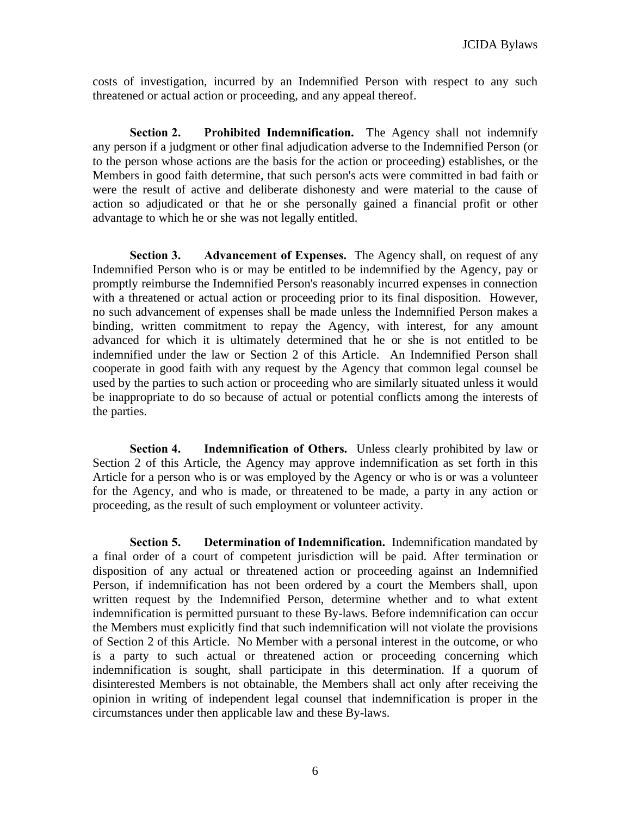costs of investigation, incurred by an Indemnified Person with respect to any such threatened or actual action or proceeding, and any appeal thereof.

**Section 2. Prohibited Indemnification.** The Agency shall not indemnify any person if a judgment or other final adjudication adverse to the Indemnified Person (or to the person whose actions are the basis for the action or proceeding) establishes, or the Members in good faith determine, that such person's acts were committed in bad faith or were the result of active and deliberate dishonesty and were material to the cause of action so adjudicated or that he or she personally gained a financial profit or other advantage to which he or she was not legally entitled.

**Section 3. Advancement of Expenses.** The Agency shall, on request of any Indemnified Person who is or may be entitled to be indemnified by the Agency, pay or promptly reimburse the Indemnified Person's reasonably incurred expenses in connection with a threatened or actual action or proceeding prior to its final disposition. However, no such advancement of expenses shall be made unless the Indemnified Person makes a binding, written commitment to repay the Agency, with interest, for any amount advanced for which it is ultimately determined that he or she is not entitled to be indemnified under the law or Section 2 of this Article. An Indemnified Person shall cooperate in good faith with any request by the Agency that common legal counsel be used by the parties to such action or proceeding who are similarly situated unless it would be inappropriate to do so because of actual or potential conflicts among the interests of the parties.

**Section 4. Indemnification of Others.** Unless clearly prohibited by law or Section 2 of this Article, the Agency may approve indemnification as set forth in this Article for a person who is or was employed by the Agency or who is or was a volunteer for the Agency, and who is made, or threatened to be made, a party in any action or proceeding, as the result of such employment or volunteer activity.

**Section 5. Determination of Indemnification.** Indemnification mandated by a final order of a court of competent jurisdiction will be paid. After termination or disposition of any actual or threatened action or proceeding against an Indemnified Person, if indemnification has not been ordered by a court the Members shall, upon written request by the Indemnified Person, determine whether and to what extent indemnification is permitted pursuant to these By-laws. Before indemnification can occur the Members must explicitly find that such indemnification will not violate the provisions of Section 2 of this Article. No Member with a personal interest in the outcome, or who is a party to such actual or threatened action or proceeding concerning which indemnification is sought, shall participate in this determination. If a quorum of disinterested Members is not obtainable, the Members shall act only after receiving the opinion in writing of independent legal counsel that indemnification is proper in the circumstances under then applicable law and these By-laws.